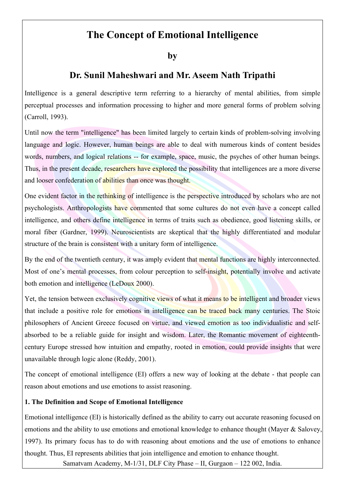# **The Concept of Emotional Intelligence**

**by** 

## **Dr. Sunil Maheshwari and Mr. Aseem Nath Tripathi**

Intelligence is a general descriptive term referring to a hierarchy of mental abilities, from simple perceptual processes and information processing to higher and more general forms of problem solving (Carroll, 1993).

Until now the term "intelligence" has been limited largely to certain kinds of problem-solving involving language and logic. However, human beings are able to deal with numerous kinds of content besides words, numbers, and logical relations -- for example, space, music, the psyches of other human beings. Thus, in the present decade, researchers have explored the possibility that intelligences are a more diverse and looser confederation of abilities than once was thought.

One evident factor in the rethinking of intelligence is the perspective introduced by scholars who are not psychologists. Anthropologists have commented that some cultures do not even have a concept called intelligence, and others define intelligence in terms of traits such as obedience, good listening skills, or moral fiber (Gardner, 1999). Neuroscientists are skeptical that the highly differentiated and modular structure of the brain is consistent with a unitary form of intelligence.

By the end of the twentieth century, it was amply evident that mental functions are highly interconnected. Most of one's mental processes, from colour perception to self-insight, potentially involve and activate both emotion and intelligence (LeDoux 2000).

Yet, the tension between exclusively cognitive views of what it means to be intelligent and broader views that include a positive role for emotions in intelligence can be traced back many centuries. The Stoic philosophers of Ancient Greece focused on virtue, and viewed emotion as too individualistic and selfabsorbed to be a reliable guide for insight and wisdom. Later, the Romantic movement of eighteenthcentury Europe stressed how intuition and empathy, rooted in emotion, could provide insights that were unavailable through logic alone (Reddy, 2001).

The concept of emotional intelligence (EI) offers a new way of looking at the debate - that people can reason about emotions and use emotions to assist reasoning.

## **1. The Definition and Scope of Emotional Intelligence**

Emotional intelligence (EI) is historically defined as the ability to carry out accurate reasoning focused on emotions and the ability to use emotions and emotional knowledge to enhance thought (Mayer & Salovey, 1997). Its primary focus has to do with reasoning about emotions and the use of emotions to enhance thought. Thus, EI represents abilities that join intelligence and emotion to enhance thought.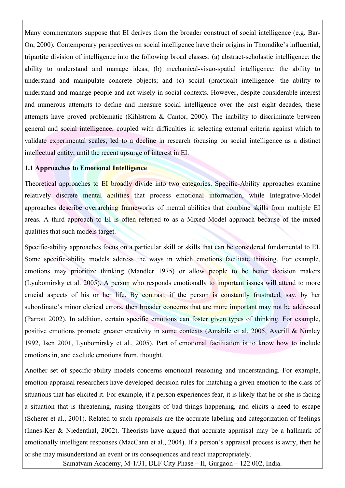Many commentators suppose that EI derives from the broader construct of social intelligence (e.g. Bar-On, 2000). Contemporary perspectives on social intelligence have their origins in Thorndike's influential, tripartite division of intelligence into the following broad classes: (a) abstract-scholastic intelligence: the ability to understand and manage ideas, (b) mechanical-visuo-spatial intelligence: the ability to understand and manipulate concrete objects; and (c) social (practical) intelligence: the ability to understand and manage people and act wisely in social contexts. However, despite considerable interest and numerous attempts to define and measure social intelligence over the past eight decades, these attempts have proved problematic (Kihlstrom & Cantor, 2000). The inability to discriminate between general and social intelligence, coupled with difficulties in selecting external criteria against which to validate experimental scales, led to a decline in research focusing on social intelligence as a distinct intellectual entity, until the recent upsurge of interest in EI.

#### **1.1 Approaches to Emotional Intelligence**

Theoretical approaches to EI broadly divide into two categories. Specific-Ability approaches examine relatively discrete mental abilities that process emotional information, while Integrative-Model approaches describe overarching frameworks of mental abilities that combine skills from multiple EI areas. A third approach to EI is often referred to as a Mixed Model approach because of the mixed qualities that such models target.

Specific-ability approaches focus on a particular skill or skills that can be considered fundamental to EI. Some specific-ability models address the ways in which emotions facilitate thinking. For example, emotions may prioritize thinking (Mandler 1975) or allow people to be better decision makers (Lyubomirsky et al. 2005). A person who responds emotionally to important issues will attend to more crucial aspects of his or her life. By contrast, if the person is constantly frustrated, say, by her subordinate's minor clerical errors, then broader concerns that are more important may not be addressed (Parrott 2002). In addition, certain specific emotions can foster given types of thinking. For example, positive emotions promote greater creativity in some contexts (Amabile et al. 2005, Averill & Nunley 1992, Isen 2001, Lyubomirsky et al., 2005). Part of emotional facilitation is to know how to include emotions in, and exclude emotions from, thought.

Another set of specific-ability models concerns emotional reasoning and understanding. For example, emotion-appraisal researchers have developed decision rules for matching a given emotion to the class of situations that has elicited it. For example, if a person experiences fear, it is likely that he or she is facing a situation that is threatening, raising thoughts of bad things happening, and elicits a need to escape (Scherer et al., 2001). Related to such appraisals are the accurate labeling and categorization of feelings (Innes-Ker & Niedenthal, 2002). Theorists have argued that accurate appraisal may be a hallmark of emotionally intelligent responses (MacCann et al., 2004). If a person's appraisal process is awry, then he or she may misunderstand an event or its consequences and react inappropriately.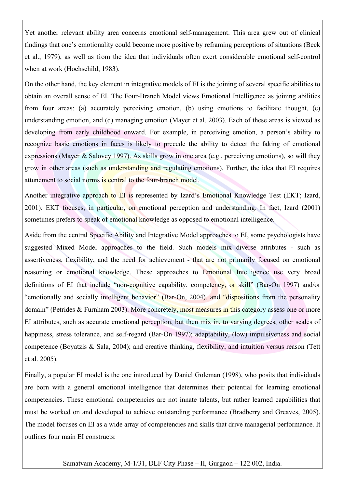Yet another relevant ability area concerns emotional self-management. This area grew out of clinical findings that one's emotionality could become more positive by reframing perceptions of situations (Beck et al., 1979), as well as from the idea that individuals often exert considerable emotional self-control when at work (Hochschild, 1983).

On the other hand, the key element in integrative models of EI is the joining of several specific abilities to obtain an overall sense of EI. The Four-Branch Model views Emotional Intelligence as joining abilities from four areas: (a) accurately perceiving emotion, (b) using emotions to facilitate thought, (c) understanding emotion, and (d) managing emotion (Mayer et al. 2003). Each of these areas is viewed as developing from early childhood onward. For example, in perceiving emotion, a person's ability to recognize basic emotions in faces is likely to precede the ability to detect the faking of emotional expressions (Mayer  $\&$  Salovey 1997). As skills grow in one area (e.g., perceiving emotions), so will they grow in other areas (such as understanding and regulating emotions). Further, the idea that EI requires attunement to social norms is central to the four-branch model.

Another integrative approach to EI is represented by Izard's Emotional Knowledge Test (EKT; Izard, 2001). EKT focuses, in particular, on emotional perception and understanding. In fact, Izard (2001) sometimes prefers to speak of emotional knowledge as opposed to emotional intelligence.

Aside from the central Specific Ability and Integrative Model approaches to EI, some psychologists have suggested Mixed Model approaches to the field. Such models mix diverse attributes - such as assertiveness, flexibility, and the need for achievement - that are not primarily focused on emotional reasoning or emotional knowledge. These approaches to Emotional Intelligence use very broad definitions of EI that include "non-cognitive capability, competency, or skill" (Bar-On 1997) and/or "emotionally and socially intelligent behavior" (Bar-On, 2004), and "dispositions from the personality domain" (Petrides & Furnham 2003). More concretely, most measures in this category assess one or more EI attributes, such as accurate emotional perception, but then mix in, to varying degrees, other scales of happiness, stress tolerance, and self-regard (Bar-On 1997); adaptability, (low) impulsiveness and social competence (Boyatzis & Sala, 2004); and creative thinking, flexibility, and intuition versus reason (Tett et al. 2005).

Finally, a popular EI model is the one introduced by Daniel Goleman (1998), who posits that individuals are born with a general emotional intelligence that determines their potential for learning emotional competencies. These emotional competencies are not innate talents, but rather learned capabilities that must be worked on and developed to achieve outstanding performance (Bradberry and Greaves, 2005). The model focuses on EI as a wide array of competencies and skills that drive managerial performance. It outlines four main EI constructs: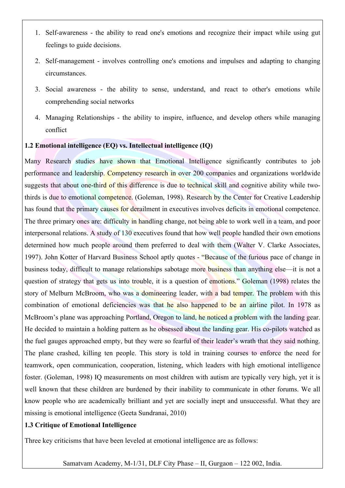- 1. Self-awareness the ability to read one's emotions and recognize their impact while using gut feelings to guide decisions.
- 2. Self-management involves controlling one's emotions and impulses and adapting to changing circumstances.
- 3. Social awareness the ability to sense, understand, and react to other's emotions while comprehending social networks
- 4. Managing Relationships the ability to inspire, influence, and develop others while managing conflict

## **1.2 Emotional intelligence (EQ) vs. Intellectual intelligence (IQ)**

Many Research studies have shown that Emotional Intelligence significantly contributes to job performance and leadership. Competency research in over 200 companies and organizations worldwide suggests that about one-third of this difference is due to technical skill and cognitive ability while twothirds is due to emotional competence. (Goleman, 1998). Research by the Center for Creative Leadership has found that the primary causes for derailment in executives involves deficits in emotional competence. The three primary ones are: difficulty in handling change, not being able to work well in a team, and poor interpersonal relations. A study of 130 executives found that how well people handled their own emotions determined how much people around them preferred to deal with them (Walter V. Clarke Associates, 1997). John Kotter of Harvard Business School aptly quotes - "Because of the furious pace of change in business today, difficult to manage relationships sabotage more business than anything else—it is not a question of strategy that gets us into trouble, it is a question of emotions." Goleman (1998) relates the story of Melburn McBroom, who was a domineering leader, with a bad temper. The problem with this combination of emotional deficiencies was that he also happened to be an airline pilot. In 1978 as McBroom's plane was approaching Portland, Oregon to land, he noticed a problem with the landing gear. He decided to maintain a holding pattern as he obsessed about the landing gear. His co-pilots watched as the fuel gauges approached empty, but they were so fearful of their leader's wrath that they said nothing. The plane crashed, killing ten people. This story is told in training courses to enforce the need for teamwork, open communication, cooperation, listening, which leaders with high emotional intelligence foster. (Goleman, 1998) IQ measurements on most children with autism are typically very high, yet it is well known that these children are burdened by their inability to communicate in other forums. We all know people who are academically brilliant and yet are socially inept and unsuccessful. What they are missing is emotional intelligence (Geeta Sundranai, 2010)

## **1.3 Critique of Emotional Intelligence**

Three key criticisms that have been leveled at emotional intelligence are as follows: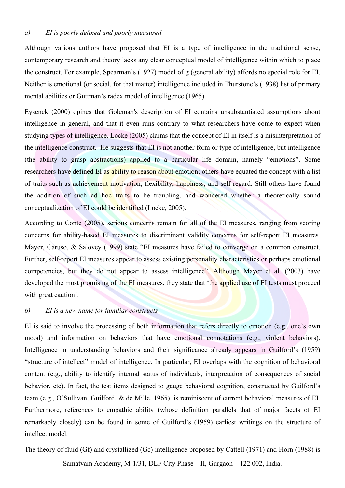## *a) EI is poorly defined and poorly measured*

Although various authors have proposed that EI is a type of intelligence in the traditional sense, contemporary research and theory lacks any clear conceptual model of intelligence within which to place the construct. For example, Spearman's (1927) model of g (general ability) affords no special role for EI. Neither is emotional (or social, for that matter) intelligence included in Thurstone's (1938) list of primary mental abilities or Guttman's radex model of intelligence (1965).

Eysenck (2000) opines that Goleman's description of EI contains unsubstantiated assumptions about intelligence in general, and that it even runs contrary to what researchers have come to expect when studying types of intelligence. Locke (2005) claims that the concept of EI in itself is a misinterpretation of the intelligence construct. He suggests that EI is not another form or type of intelligence, but intelligence (the ability to grasp abstractions) applied to a particular life domain, namely "emotions". Some researchers have defined EI as ability to reason about emotion; others have equated the concept with a list of traits such as achievement motivation, flexibility, happiness, and self-regard. Still others have found the addition of such ad hoc traits to be troubling, and wondered whether a theoretically sound conceptualization of EI could be identified (Locke, 2005).

According to Conte (2005), serious concerns remain for all of the EI measures, ranging from scoring concerns for ability-based EI measures to discriminant validity concerns for self-report EI measures. Mayer, Caruso, & Salovey (1999) state "EI measures have failed to converge on a common construct. Further, self-report EI measures appear to assess existing personality characteristics or perhaps emotional competencies, but they do not appear to assess intelligence". Although Mayer et al. (2003) have developed the most promising of the EI measures, they state that 'the applied use of EI tests must proceed with great caution'.

## *b) EI is a new name for familiar constructs*

EI is said to involve the processing of both information that refers directly to emotion (e.g., one's own mood) and information on behaviors that have emotional connotations (e.g., violent behaviors). Intelligence in understanding behaviors and their significance already appears in Guilford's (1959) "structure of intellect" model of intelligence. In particular, EI overlaps with the cognition of behavioral content (e.g., ability to identify internal status of individuals, interpretation of consequences of social behavior, etc). In fact, the test items designed to gauge behavioral cognition, constructed by Guilford's team (e.g., O'Sullivan, Guilford, & de Mille, 1965), is reminiscent of current behavioral measures of EI. Furthermore, references to empathic ability (whose definition parallels that of major facets of EI remarkably closely) can be found in some of Guilford's (1959) earliest writings on the structure of intellect model.

The theory of fluid (Gf) and crystallized (Gc) intelligence proposed by Cattell (1971) and Horn (1988) is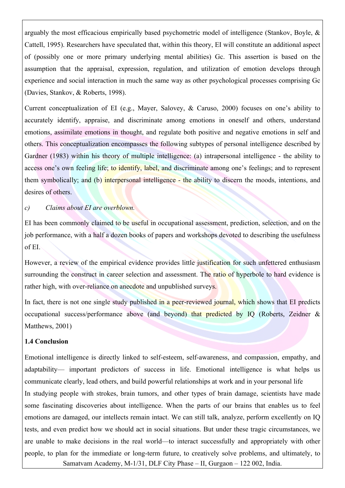arguably the most efficacious empirically based psychometric model of intelligence (Stankov, Boyle, & Cattell, 1995). Researchers have speculated that, within this theory, EI will constitute an additional aspect of (possibly one or more primary underlying mental abilities) Gc. This assertion is based on the assumption that the appraisal, expression, regulation, and utilization of emotion develops through experience and social interaction in much the same way as other psychological processes comprising Gc (Davies, Stankov, & Roberts, 1998).

Current conceptualization of EI (e.g., Mayer, Salovey, & Caruso, 2000) focuses on one's ability to accurately identify, appraise, and discriminate among emotions in oneself and others, understand emotions, assimilate emotions in thought, and regulate both positive and negative emotions in self and others. This conceptualization encompasses the following subtypes of personal intelligence described by Gardner (1983) within his theory of multiple intelligence: (a) intrapersonal intelligence - the ability to access one's own feeling life; to identify, label, and discriminate among one's feelings; and to represent them symbolically; and (b) interpersonal intelligence - the ability to discern the moods, intentions, and desires of others.

#### *c) Claims about EI are overblown.*

EI has been commonly claimed to be useful in occupational assessment, prediction, selection, and on the job performance, with a half a dozen books of papers and workshops devoted to describing the usefulness of EI.

However, a review of the empirical evidence provides little justification for such unfettered enthusiasm surrounding the construct in career selection and assessment. The ratio of hyperbole to hard evidence is rather high, with over-reliance on anecdote and unpublished surveys.

In fact, there is not one single study published in a peer-reviewed journal, which shows that EI predicts occupational success/performance above (and beyond) that predicted by IQ (Roberts, Zeidner & Matthews, 2001)

## **1.4 Conclusion**

Emotional intelligence is directly linked to self-esteem, self-awareness, and compassion, empathy, and adaptability— important predictors of success in life. Emotional intelligence is what helps us communicate clearly, lead others, and build powerful relationships at work and in your personal life

Samatvam Academy, M-1/31, DLF City Phase – II, Gurgaon – 122 002, India. In studying people with strokes, brain tumors, and other types of brain damage, scientists have made some fascinating discoveries about intelligence. When the parts of our brains that enables us to feel emotions are damaged, our intellects remain intact. We can still talk, analyze, perform excellently on IQ tests, and even predict how we should act in social situations. But under these tragic circumstances, we are unable to make decisions in the real world—to interact successfully and appropriately with other people, to plan for the immediate or long-term future, to creatively solve problems, and ultimately, to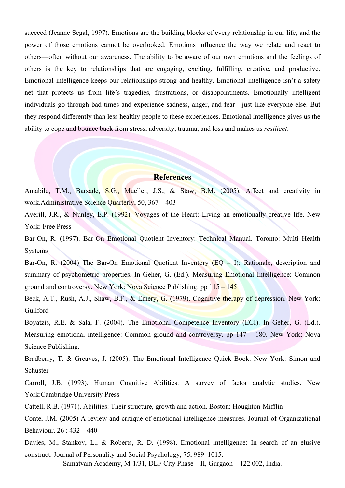succeed (Jeanne Segal, 1997). Emotions are the building blocks of every relationship in our life, and the power of those emotions cannot be overlooked. Emotions influence the way we relate and react to others—often without our awareness. The ability to be aware of our own emotions and the feelings of others is the key to relationships that are engaging, exciting, fulfilling, creative, and productive. Emotional intelligence keeps our relationships strong and healthy. Emotional intelligence isn't a safety net that protects us from life's tragedies, frustrations, or disappointments. Emotionally intelligent individuals go through bad times and experience sadness, anger, and fear—just like everyone else. But they respond differently than less healthy people to these experiences. Emotional intelligence gives us the ability to cope and bounce back from stress, adversity, trauma, and loss and makes us *resilient*.

## **References**

Amabile, T.M., Barsade, S.G., Mueller, J.S., & Staw, B.M. (2005). Affect and creativity in work.Administrative Science Quarterly, 50, 367 – 403

Averill, J.R., & Nunley, E.P. (1992). Voyages of the Heart: Living an emotionally creative life. New York: Free Press

Bar-On, R. (1997). Bar-On Emotional Quotient Inventory: Technical Manual. Toronto: Multi Health Systems

Bar-On, R. (2004) The Bar-On Emotional Quotient Inventory (EQ – I): Rationale, description and summary of psychometric properties. In Geher, G. (Ed.). Measuring Emotional Intelligence: Common ground and controversy. New York: Nova Science Publishing. pp  $115 - 145$ 

Beck, A.T., Rush, A.J., Shaw, B.F., & Emery, G. (1979). Cognitive therapy of depression. New York: Guilford

Boyatzis, R.E. & Sala, F. (2004). The Emotional Competence Inventory (ECI). In Geher, G. (Ed.). Measuring emotional intelligence: Common ground and controversy. pp 147 – 180. New York: Nova Science Publishing.

Bradberry, T. & Greaves, J. (2005). The Emotional Intelligence Quick Book. New York: Simon and **Schuster** 

Carroll, J.B. (1993). Human Cognitive Abilities: A survey of factor analytic studies. New York:Cambridge University Press

Cattell, R.B. (1971). Abilities: Their structure, growth and action. Boston: Houghton-Mifflin

Conte, J.M. (2005) A review and critique of emotional intelligence measures. Journal of Organizational Behaviour. 26 : 432 – 440

Davies, M., Stankov, L., & Roberts, R. D. (1998). Emotional intelligence: In search of an elusive construct. Journal of Personality and Social Psychology, 75, 989–1015.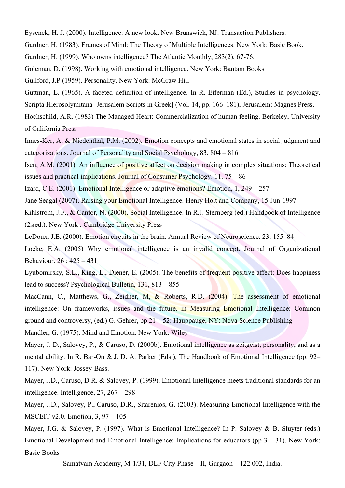Eysenck, H. J. (2000). Intelligence: A new look. New Brunswick, NJ: Transaction Publishers.

Gardner, H. (1983). Frames of Mind: The Theory of Multiple Intelligences. New York: Basic Book.

Gardner, H. (1999). Who owns intelligence? The Atlantic Monthly, 283(2), 67-76.

Goleman, D. (1998). Working with emotional intelligence. New York: Bantam Books

Guilford, J.P (1959). Personality. New York: McGraw Hill

Guttman, L. (1965). A faceted definition of intelligence. In R. Eiferman (Ed.), Studies in psychology. Scripta Hierosolymitana [Jerusalem Scripts in Greek] (Vol. 14, pp. 166–181), Jerusalem: Magnes Press.

Hochschild, A.R. (1983) The Managed Heart: Commercialization of human feeling. Berkeley, University of California Press

Innes-Ker, A, & Niedenthal, P.M. (2002). Emotion concepts and emotional states in social judgment and categorizations. Journal of Personality and Social Psychology, 83, 804 – 816

Isen, A.M. (2001). An influence of positive affect on decision making in complex situations: Theoretical issues and practical implications. Journal of Consumer Psychology. 11. 75 – 86

Izard, C.E. (2001). Emotional Intelligence or adaptive emotions? Emotion, 1, 249 – 257

Jane Seagal (2007). Raising your Emotional Intelligence. Henry Holt and Company, 15-Jun-1997

Kihlstrom, J.F., & Cantor, N. (2000). Social Intelligence. In R.J. Sternberg (ed.) Handbook of Intelligence (2nd ed.). New York : Cambridge University Press

LeDoux, J.E. (2000). Emotion circuits in the brain. Annual Review of Neuroscience. 23: 155–84

Locke, E.A. (2005) Why emotional intelligence is an invalid concept. Journal of Organizational Behaviour. 26 : 425 – 431

Lyubomirsky, S.L., King, L., Diener, E. (2005). The benefits of frequent positive affect: Does happiness lead to success? Psychological Bulletin, 131, 813 – 855

MacCann, C., Matthews, G., Zeidner, M. & Roberts, R.D. (2004). The assessment of emotional intelligence: On frameworks, issues and the future. in Measuring Emotional Intelligence: Common ground and controversy, (ed.) G. Gehrer, pp  $21 - 52$ : Hauppauge, NY: Nova Science Publishing

Mandler, G. (1975). Mind and Emotion. New York: Wiley

Mayer, J. D., Salovey, P., & Caruso, D. (2000b). Emotional intelligence as zeitgeist, personality, and as a mental ability. In R. Bar-On & J. D. A. Parker (Eds.), The Handbook of Emotional Intelligence (pp. 92– 117). New York: Jossey-Bass.

Mayer, J.D., Caruso, D.R. & Salovey, P. (1999). Emotional Intelligence meets traditional standards for an intelligence. Intelligence, 27, 267 – 298

Mayer, J.D., Salovey, P., Caruso, D.R., Sitarenios, G. (2003). Measuring Emotional Intelligence with the MSCEIT v2.0. Emotion, 3, 97 – 105

Mayer, J.G. & Salovey, P. (1997). What is Emotional Intelligence? In P. Salovey & B. Sluyter (eds.) Emotional Development and Emotional Intelligence: Implications for educators (pp  $3 - 31$ ). New York: Basic Books